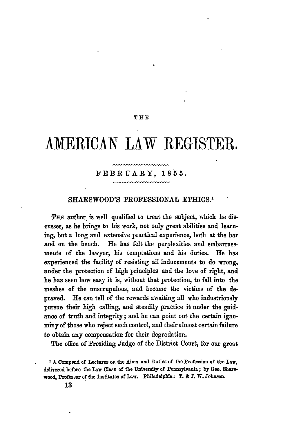# THE

# **AMERICAN** LAW REGISTER.

## FEBRUARY, **1855.**

#### SHARSWOOD'S PROFESSIONAL ETHICS.'

THE author is well qualified to treat the subject, which he discusses, as he brings to his work, not only great abilities **and** learning, but **a** long and extensive practical experience, both at the bar and on the bench. He has felt the perplexities and embarrassments of the lawyer, his temptations and his duties. He has experienced the facility of resisting all inducements to do wrong, under the protection of high principles and the love of right, and he has seen how easy it is, without that protection, to fall into the meshes of the unscrupulous, and become the victims of the depraved. He can tell of the rewards awaiting all who industriously pursue their high calling, and steadily practice it under the guidance of truth and integrity; and he can point out the certain ignominy of those who reject such control, and their almost certain failure to obtain any compensation for their degradation.

The office of Presiding Judge of the District Court, for our great

*'A* Compend of Lectures on the Aims **and** Duties of the Profession of the **Law,** delivered before the Law **Class** of the University of Pennsylvania; **by** Geo. Sharswood, Professor of the Institutes of Law. Philadelphia: T. **& J.** W. **Johnson.**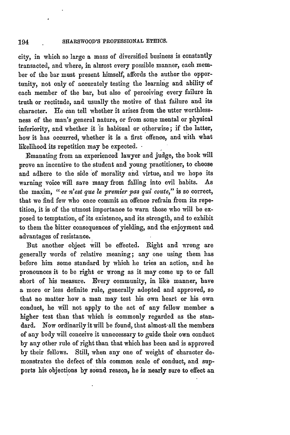city, in which so large a mass of diversified business is constantly transacted, and where, in almost every possible manner, each member of the bar must present himself, affords the author the opportunity, not only of accurately testing the learning and ability of each member of the bar, but also of perceiving every failure in truth or rectitude, and usually the motive of that failure and its character. He can tell whether it arises from the utter worthlessness of the man's general nature, or from some mental or physical inferiority, and whether it **is** habitual or otherwise; if the latter, how it has occurred, whether it is a first offence, and with what likelihood its repetition may be expected. **-**

Emanating from an experienced lawyer and judge, the book will prove an incentive to the student and young practitioner, to choose and adhere to the side of morality and virtue, and we hope its warning voice will save many from falling into evil habits. As the maxim, *"1 ce n'est que* **le** *premier pas qui coute,"* is so correct, that we find few who once commit an offence refrain from its repetition, it is of the utmost importance to warn those who will be exposed to temptation, of its existence, and its strength, and to exhibit to them the bitter consequences of yielding, and the enjoyment and advantages of resistance.

But another object will be effected. Right and wrong are generally words of relative meaning; any one using them has before him some standard **by** which he tries an action, and he pronounces it to be right or wrong as it may come up to or fall short of his measure. Every community, in **like** manner, have a more or less definite rule, generally adopted and approved, so that no matter how a man may test his own heart or his own conduct, he will not apply to the act of any fellow member a higher test than that which is commonly regarded as the standard. Now ordinarily it will be found, that almost-all the members of any body will conceive it unnecessary to- guide their own conduct **by** any other rule of right than that which has been and is approved **by** their fellows. Still, when any one of weight of character demonstrates **the** defect of this common scale of conduct, and supports his objections **by** sound reason, he is nearly sure to effect an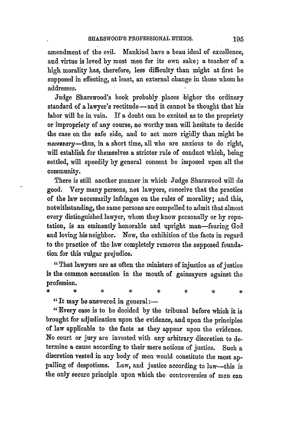amendment of the evil. Mankind have a beau ideal of excellence, and virtue is loved **by** most men for its own sake; a teacher of a high morality has, therefore, less difficulty than might at first be supposed in effecting, at least, an external change in those whom he addresses.

Judge Sharswood's book probably places higher the ordinary standard of a lawyer's rectitude-and it cannot be thought that his labor will be in vain. If a doubt can be excited as to the propriety or impropriety of any course, no worthy man will hesitate to decide the case on the safe side, and to act more rigidly than might be *necessary-thus,* in a short time, all who are anxious to do right, will establish for themselves a stricter rule of conduct which, being settled, will speedily by general consent be imposed upon all the community.

There is still another manner in which Judge Sharswood will do good. Very many persons, not lawyers, conceive that the practice of the law necessarily infringes on the rules of morality; and this, notwithstanding, the same persons are compelled to admit that almost every distinguished lawyer, whom they know personally or **by** reputation, is an eminently honorable and upright man-fearing God and loving his neighbor. Now, the exhibition of the facts in regard to the practice of the law completely removes the supposed foundation for this vulgar prejudice.

"That lawyers are as often the ministers of injustice as of justice is the common accusation in the mouth of gainsayers against the profession.

÷. ٠k ż Á.

 $"$ It may be answered in general: $-$ 

\*

"Every case is to be decided **by** the tribunal before which it is brought for adjudication upon the evidence, and upon the principles of law applicable to the facts as they appear upon the evidence. No court or jury are invested with any arbitrary discretion to determine a cause according to their mere notions of justice. Such a discretion vested in any body of men would constitute the most appalling of despotisms. Law, and justice according to law-this is the only secure principle upon which the controversies of men can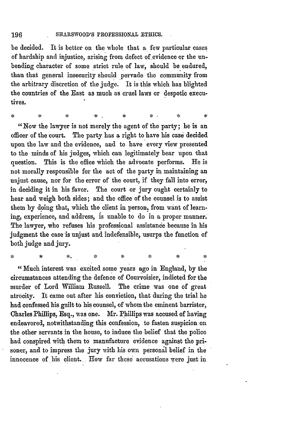ż

żk

be decided. It is better on the whole that a few particular cases of hardship and injustice, arising from defect of evidence or the unbending character of some strict rule of law, should be endured, than that general insecurity should pervade the community from the arbitrary discretion of the judge. It is this which has blighted the countries of the East as much as cruel laws or despotic executives.

"Now the lawyer is not merely the agent of the party; he is an officer of the court. The party has a right to have his case decided upon the law and the evidence, and to have every view presented to the minds of his judges, which can legitimately bear upon that question. This is the office which the advocate performs. He is not morally responsible for the act of the party in maintaining an unjust cause, nor for the error of the court, if they fall into error, in deciding it in his favor. The court or jury ought certainly to hear and weigh both sides; and the office of the counsel is to assist them by doing that, which the client in person, from want of learning, experience, and address, **is** unable to do in a proper manner. The lawyer, who refuses his professional assistance because in his judgment the case is unjust and indefensible, usurps the function of both judge and jury.

"Much interest was excited some years ago in England, **by** the circumstances attending the defence of Courvoisier, indicted for the murder of Lord William Russell. The crime was one of great atrocity. It came out after his conviction, that during the trial he had confessed his guilt to his counsel, of whom the eminent barrister, Charles Phillips, Esq., was one. Mr. Phillips was accused of having endeavored, notwithstanding this confession, to fasten suspicion on the other servants in the house, to induce the belief that the police had conspired with them to manufacture evidence against the prisoner, and to impress the jury with his own personal belief in the innocence of his client. How far these accusations were just in

÷.

 $\mathcal{L}$ 

 $\mathcal{L}$ 

ż.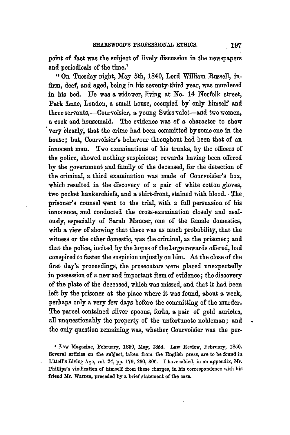point of fact was the subject of lively discussion in the newspapers and periodicals of the time.<sup>1</sup>

**"On** Tuesday night, May 5th, 1840, Lord William Russell, infirm, deaf, and aged, being in his seventy-third year, was murdered in his bed. Ile was a widower, living at **No.** 14 Norfolk street, Park Lane, London, **a** small house, occupied **by'** only himself and three servants,-Courvoisier, a young Swiss valet-and two women, **a** cook and housemaid. The evidence was of a character to show very clearly, that the crime had been committed **by** some one in the house; but, Courvoisier's behavour throughout had been that of an innocent man. Two examinations of his trunks, **by** the officers of the police, showed nothing suspicious; rewards having been offered **by** the government and family of the deceased, for the detection of the criminal, a third examination was made of Courvoisier's box, which resulted in the discovery of a pair of white cotton gloves, two pocket hankerchiefs, and a shirt-front, stained with blood. The prisoner's counsel went to the trial, with a full persuasion of his innocence, and conducted the cross-examination closely and zealously, especially of Sarah Mancer, one of the female domestics, with a view of showing that there was as much probability, that the witness or the other domestic, was the criminal, as the prisoner; and that the police, incited **by** the hopes of the large rewards offered, had conspired to fasten the suspicion unjustly on **him.** At the close of the first day's proceedings, the prosecutors were placed unexpectedly in possession of a new and important item of evidence; the discovery of the plate of the deceased, which was missed, and that it had been left **by** the prisoner at the place where it was found, about **a** week, perhaps only a very few days before the committing of the murder. The parcel contained silver spoons, forks, a pair of **gold** auricles, all unquestionably the property of the unfortunate nobleman; and the only question remaining was, whether Courvoisier was the per-

Law **Magazine, February, 1850, May, 1854. Law Review, February, 1850. Several articles on the subject, taken from the English press, are to be found in Littell's Living Age, vol. 24, pp. 179, 230, 306. I have added, in an appendix, Mr. Phillips's vindication of himself from these charges, in his correspondence with** his **friend Mr. Warren, preceded by a brief statement of the case.**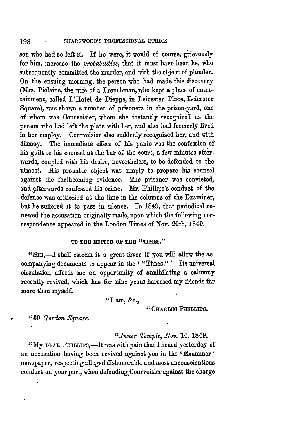son who had so left it. If he were, it would **of** course, grievously for him, increase the *probabilities,* that it must have been he, who subsequently committed the murder, and with the object of plunder. On the ensuing morning, the person who had made this discovery (Mrs. Piolaine, the wife of a Frenchman, who kept a place of entertainment, called L'Hotel de Dieppe, in Leicester Place, Leicester Square), was shown a number of prisoners in the prison-yard, one of whom was Courvoisier, whom she instantly recognized as the person who had left the plate with her, and also had formerly lived in her employ. Courvoisier also suddenly recognized her, and with dismay. The immediate effect of his panic was the confession of his guilt to his counsel at the bar of the court, a few minutes afterwards, coupled with his desire, nevertheless, to be defended to the utmost. His probable object was simply to prepare his counsel against the forthcoming evidence. The prisoner was convicted, and afterwards confessed his crime. Mr. Phillips's conduct of the defence was criticzied at the time in the columns of the Examiner, but he suffered it to pass in silence. In 1849, that periodical renewed the accusation originally made, upon which the following correspondence appeared in the London Times of Nov. 20th, 1849.

#### TO THE EDITOR OF THE "TIMES."

"SIR,-I shall esteem it a great favor if you will allow the accompanying documents to appear in the '"Times."' Its universal circulation affords me an opportunity of annihilating a calumny recently revived, which has for nine years harassed my friends far more than myself.

"I am, **&c.,**

### "CHARLES PHILLIPS.

**"39** *Gordon Sqtuare.'*

*"Inner Temple, Nov.* 14, 1849.

"My DEAR PHILLIPS,-It was with pain that I heard yesterday of an accusation having been revived against you in the ' Examinex **'** newspaper, respecting alleged dishonorable and most unconscientious conduct on your part, when defending Courvoisier against the charge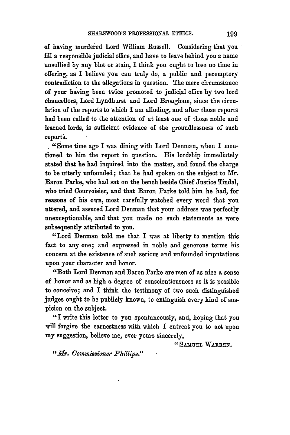of having murdered Lord William Russell. Considering that you fill a responsible judicial office, and have to leave behind you a name unsullied **by** any blot or stain, I think you ought to lose no time in offering, as I believe you can truly do, a public and peremptory contradiction to the allegations in question. The mere circumstance of your having been twice promoted to judicial office by two lord chancellors, Lord Lyndhurst and Lord Brougham, since the circulation of the reports to which I am alluding, and after those reports had been called to the attention of at least one of those noble and learned lords, is sufficient evidence of the groundlessness of such reports.

**. "Some** time ago I was dining with Lord Denman, when I mentioned to him the report in question. His lordship immediately stated that he had inquired into the matter, and found the charge to be utterly unfounded; that he had spoken on the subject to Mr. Baron Parke, who had sat on the bench beside Chief Justice Tindal, who tried Courvoisier, and that Baron Parke told him he had, for reasons of his own, most carefully watched every word that you uttered, and assured Lord Denman that your address was perfectly unexceptionable, and that you made no such statements as were subsequently attributed to you.

"Lord Denman told me that I was at liberty to mention this fact to any one; and expressed in noble and generous terms his concern at the existence of such serious and unfounded imputations upon your character and honor.

"Both Lord Denman and Baron Parke are men of as nice a sense of honor and as high a degree of conscientiousness as it is possible to conceive; and I think the testimony of two such distinguished judges ought to be publicly known, to extinguish every kind of suspicion on the subject.

"I write this letter to you spontaneously, and, hoping that you will forgive the earnestness with which I entreat you to act upon my suggestion, believe me, ever yours sincerely,

**" SAMUEL WARREN.**

*"Mr. Commissioner Phillips."*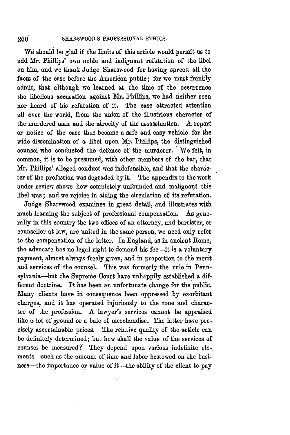#### **SHARSWOOD'S PROFESSIONAL ETHICS.**  $200\,$

We should be glad if **the** limits of this article would permit **us** to add Mr. Phillips' own noble and indignant refutation of the **libel** on him, and we thank Judge Sharswood for having spread all the facts of the case before the American public; for we must frankly admit, that although we learned at the time of the occurrence the libellous accusation against **Mr.** Phillips, we had neither seen nor heard of his refutation of it. The case attracted attention all over the world, from the union of the illustrious character of the murdered man and the airocity of the assassination. **A** report or notice of the case thus became a safe and easy vehicle for the wide dissemination of a libel upon Mr. Phillips, the distinguished counsel who conducted the defence of the murderer. We felt, in common, it is to be presumed, with other members of the bar, that Mr. Phillips' alleged conduct was indefensible, and that the character of the profession was degraded **by** it. The appendix to the work under review shows how completely unfounded and malignant this libel was; and we rejoice in aiding the circulation of its refutation.

Judge Sharswood examines in great detail, and illustrates with much learning the subject of professional compensation. As generally in this country the two offices of an attorney, and barrister, or counsellor at law, are united in the same person, we need only refer to the compensation of the latter. In England, as in ancient Rome, the advocate has no legal right to demand his fee-it is a voluntary payment, almost always freely given, and in proportion to the merit and services of the counsel. This was formerly the rule in Pennsylvania-but the Supreme Court have unhappily established a different doctrine. It has been an unfortunate change for the public. Many clients have in consequence been oppressed by exorbitant charges, and it has operated injuriously to the tone and character of the profession. A lawyer's services cannot be appraised like a lot of ground or a bale of merchandise. The latter have precisely ascertainable prices. The relative quality of the article can be definitely determined; but how shall the value of the services of counsel be measured? They depend upon various indefinite **ele**ments-such as the amount of time and labor bestowed on the business—the importance or value of it—the ability of the client to pay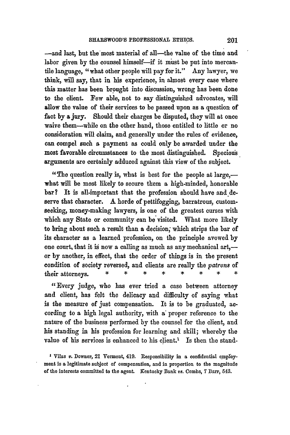-and last, but the most material of all-the value of the time and labor given by the counsel himself-if it must be put into mercantile language, "what other people will pay for it." Any lawyer, we think, will say, that in his experience, in almost every case where this matter has been brought into discussion, wrong has been done to the client. Few able, not to say distinguished advocates, will allow the value of their services to be passed upon as a question of fact **by** a jury. Should their charges be disputed, they will at once waive them-while on the other hand, those entitled to little or no consideration will claim, and generally under the rules of evidence, can compel such a payment as could only be awarded under the most favorable circumstances to the most distinguished. Specious arguments are certainly adduced against this view of the subject.

"The question really is, what is best for the people at large, $$ what will be most likely to secure them a high-minded, honorable bar? It is all-important that the profession should have and deserve that character. A horde of pettifogging, barratrous, customseeking, money-making lawyers, is one of the greatest curses with which any State or community can be visited. What more likely to bring about such a result than a decision; which strips the bar of its character as a learned profession, on the principle avowed **by** one court, that it is now a calling as much as any mechanical art,or **by** another, in effect, that the order of things is in the present condition of society reversed, and clients are really the patron8 **of** their attorneys. *\* \* \* \* \* \* \* \**

"Every judge, who has ever tried a case between attorney and client, has felt the delicacy and difficulty of saying what is the measure of just compensation. It is to be graduated, according to a high legal authority, with a proper reference to the nature of the business performed **by** the counsel for the client, and his standing in his profession for learning and skill; whereby the value of his services is enhanced to his client.<sup>1</sup> Is then the stand-

<sup>1</sup> Vilas v. Downer, 21 Vermont, 419. Responsibility in a confidential employ**ment is a legitimate subject of compensation, and in proportion to the magnitude of the interests committed to the agent. Kentucky Bank** vs. **Combs, 7 Barr, 543.**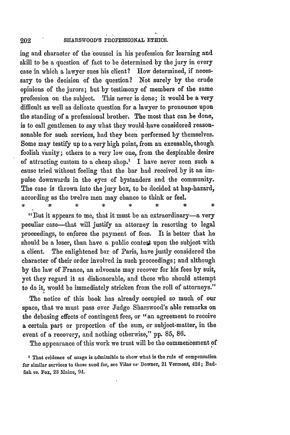ing and character of the counsel in his profession for learning and skill to be a question of fact to be determined by the jury in every case in which a lawyer sues his client? How determined, if necessary to the decision of the question? Not surely **by** the crude opinions of the jurors; but **by** testimony of members of the same profession on the subject. This never is done; it would be a very difficult as well as delicate question for a lawyer to pronounce upon the standing of a professional brother. The most that can be done, is to call gentlemen to say what they would -have considered reasonsonable for such services, had they been performed **by** themselves. Some may testify up to a very high point, from an excusable, though foolish vanity; others to a very low one, from the despicable desire of attracting custom to a cheap shop.' I have never seen such a cause tried without feeling that the bar had received by it an impulse downwards in the eyes of bystanders and the community. The case is thrown into the jury box, to be decided at hap-hazard, according as the twelve men may chance to think or feel.

"But it appears to me, that it must be an extraordinary-a very peculiar case-that will justify an attorney in resorting to legal proceedings, to enforce the payment of fees. It is better that he should be a loser, than have a public contest upon the subject with a client. The enlightened bar of Paris, have justly considered the character of their order involved in such proceedings; and although **by** the law of France, an advocate may recover for his fees **by** suit, yet they regard it as dishonorable, and those who should attempt to do it, would be immediately stricken from the roll of attorneys."

The notice of this book has already occupied so much of our space, that we must pass over Judge Sharswood's able remarks on the debasing effects of contingent fees, or **"an** agreement to receive a certain part or proportion of the sum, or subject-matter, in the event of a recovery, and nothing otherwise," **pp. 85, 86.**

The appearance of this work we trust will **be** the commencement **of**

**<sup>1</sup>That** evidence of usage is admissible to show what is the rule of compensation for similar services to those sued for, see Vilas vs- Downer, 21 Vermont, 424; Badfish *vs.* Fox, **23** Maine, **94.**